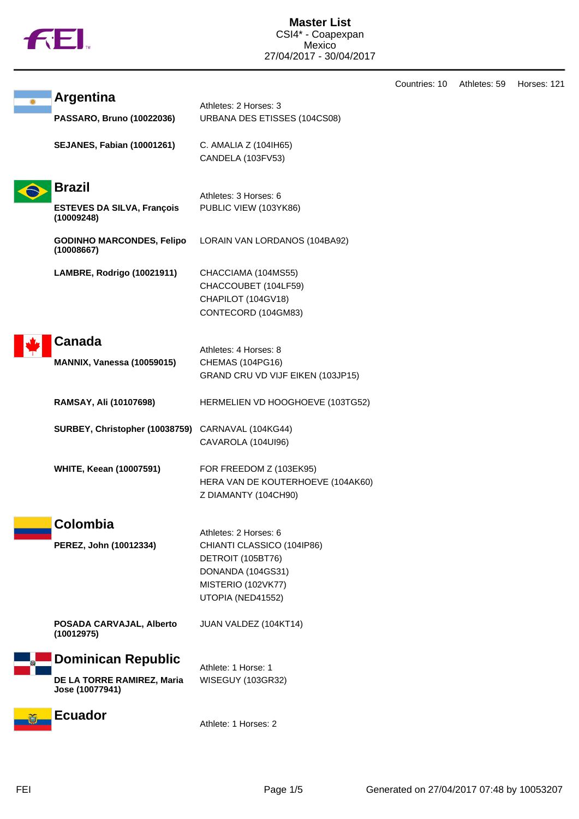|  | M |
|--|---|
|  |   |

| <b>Argentina</b>                                | Athletes: 2 Horses: 3                                 |
|-------------------------------------------------|-------------------------------------------------------|
| PASSARO, Bruno (10022036)                       | URBANA DES ETISSES (104CS08)                          |
| <b>SEJANES, Fabian (10001261)</b>               | C. AMALIA Z (104IH65)                                 |
|                                                 | CANDELA (103FV53)                                     |
|                                                 |                                                       |
| <b>Brazil</b>                                   | Athletes: 3 Horses: 6                                 |
| <b>ESTEVES DA SILVA, François</b><br>(10009248) | PUBLIC VIEW (103YK86)                                 |
| <b>GODINHO MARCONDES, Felipo</b><br>(10008667)  | LORAIN VAN LORDANOS (104BA92)                         |
| LAMBRE, Rodrigo (10021911)                      | CHACCIAMA (104MS55)                                   |
|                                                 | CHACCOUBET (104LF59)                                  |
|                                                 | CHAPILOT (104GV18)                                    |
|                                                 | CONTECORD (104GM83)                                   |
| Canada                                          |                                                       |
|                                                 | Athletes: 4 Horses: 8                                 |
| <b>MANNIX, Vanessa (10059015)</b>               | CHEMAS (104PG16)<br>GRAND CRU VD VIJF EIKEN (103JP15) |
|                                                 |                                                       |
| RAMSAY, Ali (10107698)                          | HERMELIEN VD HOOGHOEVE (103TG52)                      |
| SURBEY, Christopher (10038759)                  | CARNAVAL (104KG44)                                    |
|                                                 | CAVAROLA (104UI96)                                    |
| <b>WHITE, Keean (10007591)</b>                  | FOR FREEDOM Z (103EK95)                               |
|                                                 | HERA VAN DE KOUTERHOEVE (104AK60)                     |
|                                                 | Z DIAMANTY (104CH90)                                  |
|                                                 |                                                       |
| Colombia                                        | Athletes: 2 Horses: 6                                 |
| PEREZ, John (10012334)                          | CHIANTI CLASSICO (104IP86)                            |
|                                                 | DETROIT (105BT76)                                     |
|                                                 | DONANDA (104GS31)                                     |
|                                                 | MISTERIO (102VK77)                                    |
|                                                 | UTOPIA (NED41552)                                     |
| POSADA CARVAJAL, Alberto<br>(10012975)          | JUAN VALDEZ (104KT14)                                 |
| <b>Dominican Republic</b>                       |                                                       |
|                                                 | Athlete: 1 Horse: 1                                   |
| DE LA TORRE RAMIREZ, Maria<br>Jose (10077941)   | WISEGUY (103GR32)                                     |
| <b>Ecuador</b>                                  |                                                       |
|                                                 | Athlete: 1 Horses: 2                                  |

Countries: 10 Athletes: 59 Horses: 121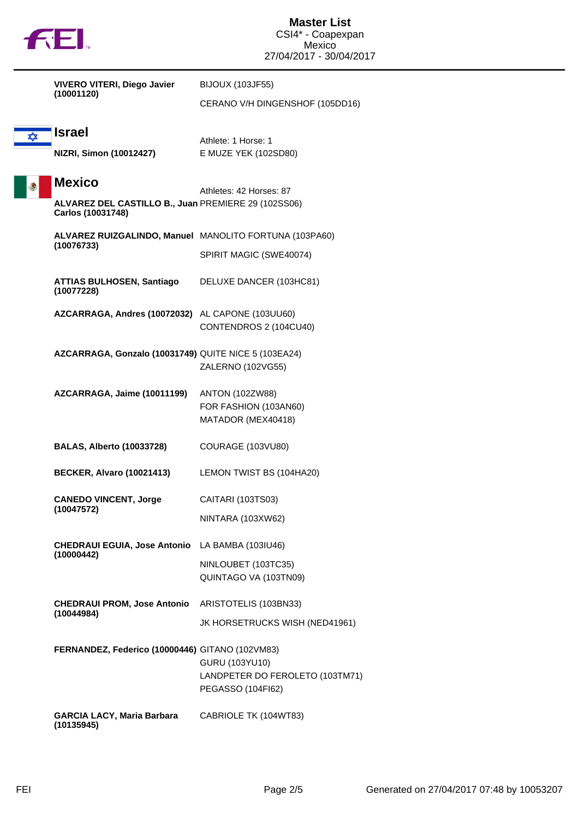|  | w |
|--|---|

|                                                 | <b>VIVERO VITERI, Diego Javier</b>                                       | <b>BIJOUX (103JF55)</b>                     |
|-------------------------------------------------|--------------------------------------------------------------------------|---------------------------------------------|
|                                                 | (10001120)                                                               | CERANO V/H DINGENSHOF (105DD16)             |
| <b>xx</b>                                       | <b>Israel</b>                                                            |                                             |
|                                                 | NIZRI, Simon (10012427)                                                  | Athlete: 1 Horse: 1<br>E MUZE YEK (102SD80) |
|                                                 |                                                                          |                                             |
|                                                 | <b>Mexico</b>                                                            | Athletes: 42 Horses: 87                     |
|                                                 | ALVAREZ DEL CASTILLO B., Juan PREMIERE 29 (102SS06)<br>Carlos (10031748) |                                             |
|                                                 | ALVAREZ RUIZGALINDO, Manuel MANOLITO FORTUNA (103PA60)<br>(10076733)     |                                             |
|                                                 |                                                                          | SPIRIT MAGIC (SWE40074)                     |
|                                                 | <b>ATTIAS BULHOSEN, Santiago</b><br>(10077228)                           | DELUXE DANCER (103HC81)                     |
|                                                 | AZCARRAGA, Andres (10072032) AL CAPONE (103UU60)                         |                                             |
|                                                 |                                                                          | CONTENDROS 2 (104CU40)                      |
|                                                 | AZCARRAGA, Gonzalo (10031749) QUITE NICE 5 (103EA24)                     |                                             |
|                                                 |                                                                          | ZALERNO (102VG55)                           |
|                                                 | AZCARRAGA, Jaime (10011199)                                              | <b>ANTON (102ZW88)</b>                      |
|                                                 |                                                                          | FOR FASHION (103AN60)                       |
|                                                 |                                                                          | MATADOR (MEX40418)                          |
|                                                 | <b>BALAS, Alberto (10033728)</b>                                         | COURAGE (103VU80)                           |
|                                                 | <b>BECKER, Alvaro (10021413)</b>                                         | LEMON TWIST BS (104HA20)                    |
|                                                 | <b>CANEDO VINCENT, Jorge</b>                                             | CAITARI (103TS03)                           |
|                                                 | (10047572)                                                               | NINTARA (103XW62)                           |
|                                                 | <b>CHEDRAUI EGUIA, Jose Antonio</b>                                      | LA BAMBA (103IU46)                          |
|                                                 | (10000442)                                                               | NINLOUBET (103TC35)                         |
|                                                 |                                                                          | QUINTAGO VA (103TN09)                       |
|                                                 | <b>CHEDRAUI PROM, Jose Antonio</b>                                       | ARISTOTELIS (103BN33)                       |
|                                                 | (10044984)                                                               | JK HORSETRUCKS WISH (NED41961)              |
| FERNANDEZ, Federico (10000446) GITANO (102VM83) |                                                                          |                                             |
|                                                 |                                                                          | GURU (103YU10)                              |
|                                                 |                                                                          | LANDPETER DO FEROLETO (103TM71)             |
|                                                 |                                                                          | PEGASSO (104FI62)                           |
|                                                 | <b>GARCIA LACY, Maria Barbara</b>                                        | CABRIOLE TK (104WT83)                       |

**(10135945)**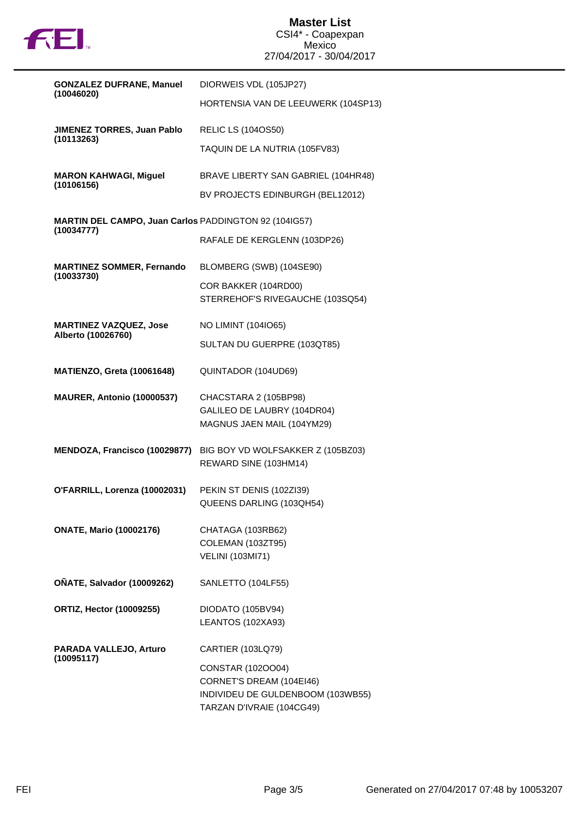

| <b>GONZALEZ DUFRANE, Manuel</b>                                     | DIORWEIS VDL (105JP27)                                     |
|---------------------------------------------------------------------|------------------------------------------------------------|
| (10046020)                                                          | HORTENSIA VAN DE LEEUWERK (104SP13)                        |
| JIMENEZ TORRES, Juan Pablo<br>(10113263)                            | <b>RELIC LS (1040S50)</b>                                  |
|                                                                     | TAQUIN DE LA NUTRIA (105FV83)                              |
| <b>MARON KAHWAGI, Miguel</b><br>(10106156)                          | BRAVE LIBERTY SAN GABRIEL (104HR48)                        |
|                                                                     | BV PROJECTS EDINBURGH (BEL12012)                           |
| MARTIN DEL CAMPO, Juan Carlos PADDINGTON 92 (104IG57)<br>(10034777) |                                                            |
|                                                                     | RAFALE DE KERGLENN (103DP26)                               |
| <b>MARTINEZ SOMMER, Fernando</b><br>(10033730)                      | BLOMBERG (SWB) (104SE90)                                   |
|                                                                     | COR BAKKER (104RD00)<br>STERREHOF'S RIVEGAUCHE (103SQ54)   |
| <b>MARTINEZ VAZQUEZ, Jose</b><br>Alberto (10026760)                 | <b>NO LIMINT (104IO65)</b>                                 |
|                                                                     | SULTAN DU GUERPRE (103QT85)                                |
| <b>MATIENZO, Greta (10061648)</b>                                   | QUINTADOR (104UD69)                                        |
| MAURER, Antonio (10000537)                                          | CHACSTARA 2 (105BP98)                                      |
|                                                                     | GALILEO DE LAUBRY (104DR04)<br>MAGNUS JAEN MAIL (104YM29)  |
| MENDOZA, Francisco (10029877)                                       | BIG BOY VD WOLFSAKKER Z (105BZ03)<br>REWARD SINE (103HM14) |
| O'FARRILL, Lorenza (10002031)                                       | PEKIN ST DENIS (102ZI39)                                   |
|                                                                     | QUEENS DARLING (103QH54)                                   |
| <b>ONATE, Mario (10002176)</b>                                      | CHATAGA (103RB62)                                          |
|                                                                     | COLEMAN (103ZT95)<br><b>VELINI (103MI71)</b>               |
| OÑATE, Salvador (10009262)                                          | SANLETTO (104LF55)                                         |
| <b>ORTIZ, Hector (10009255)</b>                                     | DIODATO (105BV94)<br>LEANTOS (102XA93)                     |
|                                                                     |                                                            |
| PARADA VALLEJO, Arturo<br>(10095117)                                | <b>CARTIER (103LQ79)</b>                                   |
|                                                                     | CONSTAR (102OO04)<br>CORNET'S DREAM (104EI46)              |
|                                                                     | INDIVIDEU DE GULDENBOOM (103WB55)                          |
|                                                                     | TARZAN D'IVRAIE (104CG49)                                  |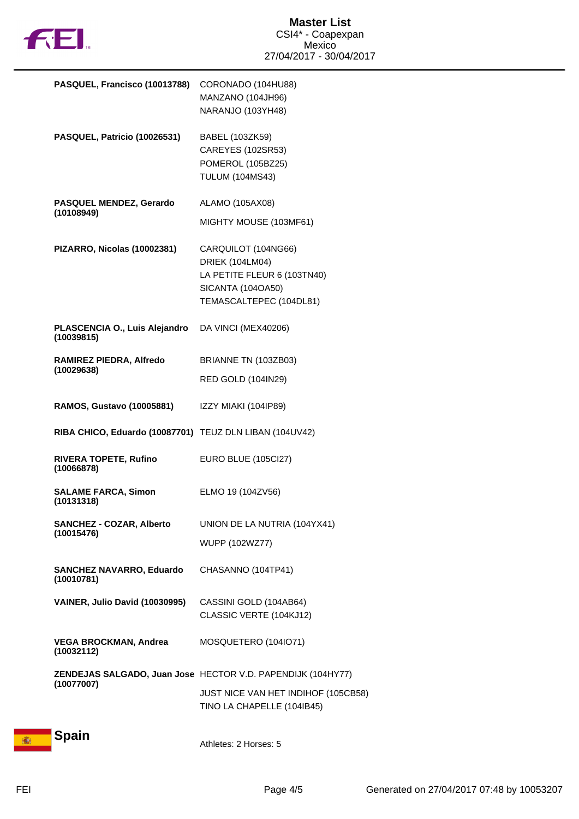

| PASQUEL, Francisco (10013788)                           | CORONADO (104HU88)<br>MANZANO (104JH96)<br>NARANJO (103YH48)                                                                 |
|---------------------------------------------------------|------------------------------------------------------------------------------------------------------------------------------|
| PASQUEL, Patricio (10026531)                            | BABEL (103ZK59)<br>CAREYES (102SR53)<br>POMEROL (105BZ25)<br><b>TULUM (104MS43)</b>                                          |
| <b>PASQUEL MENDEZ, Gerardo</b><br>(10108949)            | ALAMO (105AX08)                                                                                                              |
|                                                         | MIGHTY MOUSE (103MF61)                                                                                                       |
| PIZARRO, Nicolas (10002381)                             | CARQUILOT (104NG66)<br><b>DRIEK (104LM04)</b><br>LA PETITE FLEUR 6 (103TN40)<br>SICANTA (104OA50)<br>TEMASCALTEPEC (104DL81) |
| PLASCENCIA O., Luis Alejandro<br>(10039815)             | DA VINCI (MEX40206)                                                                                                          |
| RAMIREZ PIEDRA, Alfredo                                 | BRIANNE TN (103ZB03)                                                                                                         |
| (10029638)                                              | <b>RED GOLD (104IN29)</b>                                                                                                    |
| <b>RAMOS, Gustavo (10005881)</b>                        | IZZY MIAKI (104IP89)                                                                                                         |
| RIBA CHICO, Eduardo (10087701) TEUZ DLN LIBAN (104UV42) |                                                                                                                              |
| <b>RIVERA TOPETE, Rufino</b><br>(10066878)              | <b>EURO BLUE (105Cl27)</b>                                                                                                   |
| <b>SALAME FARCA, Simon</b><br>(10131318)                | ELMO 19 (104ZV56)                                                                                                            |
| <b>SANCHEZ - COZAR, Alberto</b><br>(10015476)           | UNION DE LA NUTRIA (104YX41)                                                                                                 |
|                                                         | WUPP (102WZ77)                                                                                                               |
| <b>SANCHEZ NAVARRO, Eduardo</b><br>(10010781)           | CHASANNO (104TP41)                                                                                                           |
| VAINER, Julio David (10030995)                          | CASSINI GOLD (104AB64)<br>CLASSIC VERTE (104KJ12)                                                                            |
| <b>VEGA BROCKMAN, Andrea</b><br>(10032112)              | MOSQUETERO (104IO71)                                                                                                         |
|                                                         | ZENDEJAS SALGADO, Juan Jose HECTOR V.D. PAPENDIJK (104HY77)                                                                  |
| (10077007)                                              | JUST NICE VAN HET INDIHOF (105CB58)<br>TINO LA CHAPELLE (104IB45)                                                            |
| <b>Spain</b>                                            |                                                                                                                              |
|                                                         | Athletes: 2 Horses: 5                                                                                                        |